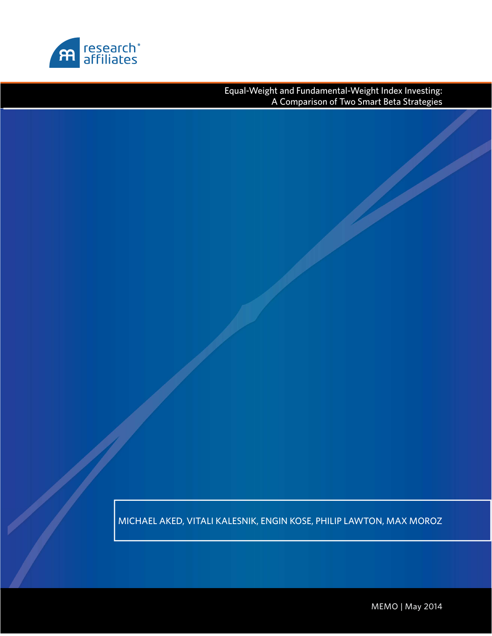

Equal-Weight and Fundamental-Weight Index Investing: A Comparison of Two Smart Beta Strategies

MICHAEL AKED, VITALI KALESNIK, ENGIN KOSE, PHILIP LAWTON, MAX MOROZ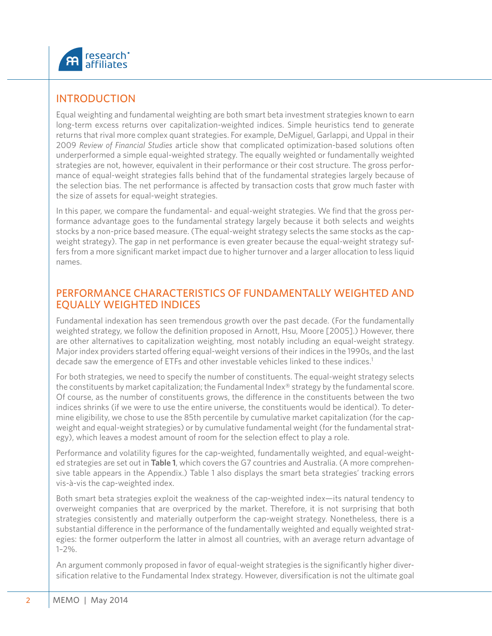

## INTRODUCTION

Equal weighting and fundamental weighting are both smart beta investment strategies known to earn long-term excess returns over capitalization-weighted indices. Simple heuristics tend to generate returns that rival more complex quant strategies. For example, DeMiguel, Garlappi, and Uppal in their 2009 *Review of Financial Studies* article show that complicated optimization-based solutions often underperformed a simple equal-weighted strategy. The equally weighted or fundamentally weighted strategies are not, however, equivalent in their performance or their cost structure. The gross performance of equal-weight strategies falls behind that of the fundamental strategies largely because of the selection bias. The net performance is affected by transaction costs that grow much faster with the size of assets for equal-weight strategies.

In this paper, we compare the fundamental- and equal-weight strategies. We find that the gross performance advantage goes to the fundamental strategy largely because it both selects and weights stocks by a non-price based measure. (The equal-weight strategy selects the same stocks as the capweight strategy). The gap in net performance is even greater because the equal-weight strategy suffers from a more significant market impact due to higher turnover and a larger allocation to less liquid names.

#### PERFORMANCE CHARACTERISTICS OF FUNDAMENTALLY WEIGHTED AND EQUALLY WEIGHTED INDICES

Fundamental indexation has seen tremendous growth over the past decade. (For the fundamentally weighted strategy, we follow the definition proposed in Arnott, Hsu, Moore [2005].) However, there are other alternatives to capitalization weighting, most notably including an equal-weight strategy. Major index providers started offering equal-weight versions of their indices in the 1990s, and the last decade saw the emergence of ETFs and other investable vehicles linked to these indices.<sup>1</sup>

For both strategies, we need to specify the number of constituents. The equal-weight strategy selects the constituents by market capitalization; the Fundamental Index® strategy by the fundamental score. Of course, as the number of constituents grows, the difference in the constituents between the two indices shrinks (if we were to use the entire universe, the constituents would be identical). To determine eligibility, we chose to use the 85th percentile by cumulative market capitalization (for the capweight and equal-weight strategies) or by cumulative fundamental weight (for the fundamental strategy), which leaves a modest amount of room for the selection effect to play a role.

Performance and volatility figures for the cap-weighted, fundamentally weighted, and equal-weighted strategies are set out in **Table 1**, which covers the G7 countries and Australia. (A more comprehensive table appears in the Appendix.) Table 1 also displays the smart beta strategies' tracking errors vis-à-vis the cap-weighted index.

Both smart beta strategies exploit the weakness of the cap-weighted index—its natural tendency to overweight companies that are overpriced by the market. Therefore, it is not surprising that both strategies consistently and materially outperform the cap-weight strategy. Nonetheless, there is a substantial difference in the performance of the fundamentally weighted and equally weighted strategies: the former outperform the latter in almost all countries, with an average return advantage of  $1 - 2\%$ .

An argument commonly proposed in favor of equal-weight strategies is the significantly higher diversification relative to the Fundamental Index strategy. However, diversification is not the ultimate goal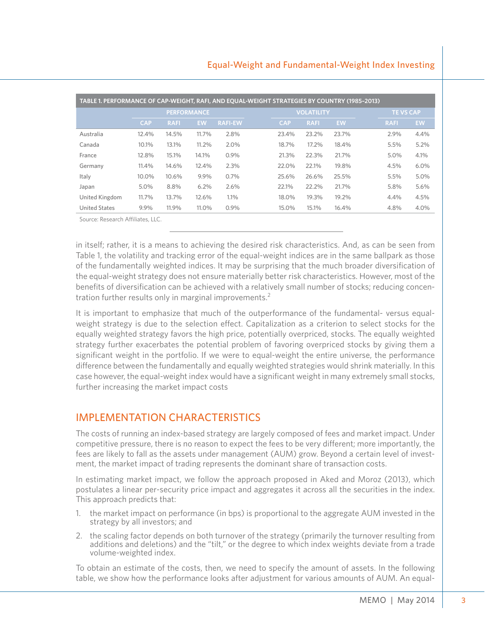#### Equal-Weight and Fundamental-Weight Index Investing

| TABLE 1. PERFORMANCE OF CAP-WEIGHT, RAFI, AND EQUAL-WEIGHT STRATEGIES BY COUNTRY (1985-2013) |            |             |                    |                |                   |             |           |  |                 |           |  |  |
|----------------------------------------------------------------------------------------------|------------|-------------|--------------------|----------------|-------------------|-------------|-----------|--|-----------------|-----------|--|--|
|                                                                                              |            |             | <b>PERFORMANCE</b> |                | <b>VOLATILITY</b> |             |           |  | <b>TEVS CAP</b> |           |  |  |
|                                                                                              | <b>CAP</b> | <b>RAFI</b> | <b>EW</b>          | <b>RAFI-EW</b> | <b>CAP</b>        | <b>RAFI</b> | <b>EW</b> |  | <b>RAFI</b>     | <b>EW</b> |  |  |
| Australia                                                                                    | 12.4%      | 14.5%       | 11.7%              | 2.8%           | 23.4%             | 23.2%       | 23.7%     |  | 2.9%            | 4.4%      |  |  |
| Canada                                                                                       | 10.1%      | 13.1%       | $11.2\%$           | 2.0%           | 18.7%             | 17.2%       | 18.4%     |  | 5.5%            | 5.2%      |  |  |
| France                                                                                       | 12.8%      | 15.1%       | 14.1%              | 0.9%           | 21.3%             | 22.3%       | 21.7%     |  | 5.0%            | 4.1%      |  |  |
| Germany                                                                                      | 11.4%      | 14.6%       | 12.4%              | 2.3%           | 22.0%             | 22.1%       | 19.8%     |  | 4.5%            | $6.0\%$   |  |  |
| Italy                                                                                        | 10.0%      | 10.6%       | 9.9%               | 0.7%           | 25.6%             | 26.6%       | 25.5%     |  | 5.5%            | 5.0%      |  |  |
| Japan                                                                                        | 5.0%       | 8.8%        | 6.2%               | 2.6%           | 22.1%             | 22.2%       | 21.7%     |  | 5.8%            | 5.6%      |  |  |
| United Kingdom                                                                               | 11.7%      | 13.7%       | 12.6%              | 1.1%           | 18.0%             | 19.3%       | 19.2%     |  | 4.4%            | 4.5%      |  |  |
| <b>United States</b>                                                                         | 9.9%       | 11.9%       | 11.0%              | 0.9%           | 15.0%             | 15.1%       | 16.4%     |  | 4.8%            | 4.0%      |  |  |
| Source: Research Affiliates, LLC.                                                            |            |             |                    |                |                   |             |           |  |                 |           |  |  |

in itself; rather, it is a means to achieving the desired risk characteristics. And, as can be seen from Table 1, the volatility and tracking error of the equal-weight indices are in the same ballpark as those of the fundamentally weighted indices. It may be surprising that the much broader diversification of the equal-weight strategy does not ensure materially better risk characteristics. However, most of the benefits of diversification can be achieved with a relatively small number of stocks; reducing concentration further results only in marginal improvements.<sup>2</sup>

It is important to emphasize that much of the outperformance of the fundamental- versus equalweight strategy is due to the selection effect. Capitalization as a criterion to select stocks for the equally weighted strategy favors the high price, potentially overpriced, stocks. The equally weighted strategy further exacerbates the potential problem of favoring overpriced stocks by giving them a significant weight in the portfolio. If we were to equal-weight the entire universe, the performance difference between the fundamentally and equally weighted strategies would shrink materially. In this case however, the equal-weight index would have a significant weight in many extremely small stocks, further increasing the market impact costs

# IMPLEMENTATION CHARACTERISTICS

The costs of running an index-based strategy are largely composed of fees and market impact. Under competitive pressure, there is no reason to expect the fees to be very different; more importantly, the fees are likely to fall as the assets under management (AUM) grow. Beyond a certain level of investment, the market impact of trading represents the dominant share of transaction costs.

In estimating market impact, we follow the approach proposed in Aked and Moroz (2013), which postulates a linear per-security price impact and aggregates it across all the securities in the index. This approach predicts that:

- 1. the market impact on performance (in bps) is proportional to the aggregate AUM invested in the strategy by all investors; and
- 2. the scaling factor depends on both turnover of the strategy (primarily the turnover resulting from additions and deletions) and the "tilt," or the degree to which index weights deviate from a trade volume-weighted index.

To obtain an estimate of the costs, then, we need to specify the amount of assets. In the following table, we show how the performance looks after adjustment for various amounts of AUM. An equal-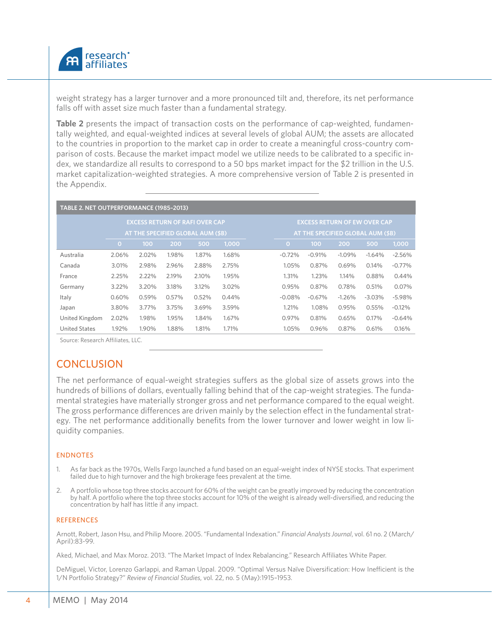

weight strategy has a larger turnover and a more pronounced tilt and, therefore, its net performance falls off with asset size much faster than a fundamental strategy.

**Table 2** presents the impact of transaction costs on the performance of cap-weighted, fundamentally weighted, and equal-weighted indices at several levels of global AUM; the assets are allocated to the countries in proportion to the market cap in order to create a meaningful cross-country comparison of costs. Because the market impact model we utilize needs to be calibrated to a specific index, we standardize all results to correspond to a 50 bps market impact for the \$2 trillion in the U.S. market capitalization-weighted strategies. A more comprehensive version of Table 2 is presented in the Appendix.

| TABLE 2. NET OUTPERFORMANCE (1985-2013) |                                   |       |       |                                       |       |  |                                     |          |          |          |          |  |
|-----------------------------------------|-----------------------------------|-------|-------|---------------------------------------|-------|--|-------------------------------------|----------|----------|----------|----------|--|
|                                         |                                   |       |       | <b>EXCESS RETURN OF RAFI OVER CAP</b> |       |  | <b>EXCESS RETURN OF EW OVER CAP</b> |          |          |          |          |  |
|                                         | AT THE SPECIFIED GLOBAL AUM (\$B) |       |       |                                       |       |  | AT THE SPECIFIED GLOBAL AUM (\$B)   |          |          |          |          |  |
|                                         | $\overline{O}$                    | 100   | 200   | 500                                   | 1,000 |  | $\mathbf{O}$                        | 100      | 200      | 500      | 1,000    |  |
| Australia                               | 2.06%                             | 2.02% | 1.98% | 1.87%                                 | 1.68% |  | $-0.72%$                            | $-0.91%$ | $-1.09%$ | $-1.64%$ | $-2.56%$ |  |
| Canada                                  | 3.01%                             | 2.98% | 2.96% | 2.88%                                 | 2.75% |  | 1.05%                               | 0.87%    | 0.69%    | 0.14%    | $-0.77%$ |  |
| France                                  | 2.25%                             | 2.22% | 2.19% | 2.10%                                 | 1.95% |  | 1.31%                               | 1.23%    | 1.14%    | 0.88%    | 0.44%    |  |
| Germany                                 | $3.22\%$                          | 3.20% | 3.18% | 3.12%                                 | 3.02% |  | 0.95%                               | 0.87%    | 0.78%    | 0.51%    | 0.07%    |  |
| Italy                                   | 0.60%                             | 0.59% | 0.57% | 0.52%                                 | 0.44% |  | $-0.08%$                            | $-0.67%$ | $-1.26%$ | $-3.03%$ | $-5.98%$ |  |
| Japan                                   | 3.80%                             | 3.77% | 3.75% | 3.69%                                 | 3.59% |  | 1.21%                               | 1.08%    | 0.95%    | 0.55%    | $-0.12%$ |  |
| United Kingdom                          | 2.02%                             | 1.98% | 1.95% | 1.84%                                 | 1.67% |  | 0.97%                               | 0.81%    | 0.65%    | 0.17%    | $-0.64%$ |  |
| <b>United States</b>                    | 1.92%                             | 1.90% | 1.88% | 1.81%                                 | 1.71% |  | 1.05%                               | 0.96%    | 0.87%    | 0.61%    | 0.16%    |  |

Source: Research Affiliates, LLC.

## **CONCLUSION**

The net performance of equal-weight strategies suffers as the global size of assets grows into the hundreds of billions of dollars, eventually falling behind that of the cap-weight strategies. The fundamental strategies have materially stronger gross and net performance compared to the equal weight. The gross performance differences are driven mainly by the selection effect in the fundamental strategy. The net performance additionally benefits from the lower turnover and lower weight in low liquidity companies.

#### ENDNOTES

- 1. As far back as the 1970s, Wells Fargo launched a fund based on an equal-weight index of NYSE stocks. That experiment failed due to high turnover and the high brokerage fees prevalent at the time.
- 2. A portfolio whose top three stocks account for 60% of the weight can be greatly improved by reducing the concentration by half. A portfolio where the top three stocks account for 10% of the weight is already well-diversified, and reducing the concentration by half has little if any impact.

#### REFERENCES

Arnott, Robert, Jason Hsu, and Philip Moore. 2005. "Fundamental Indexation." *Financial Analysts Journal*, vol. 61 no. 2 (March/ April):83-99.

Aked, Michael, and Max Moroz. 2013. "The Market Impact of Index Rebalancing." Research Affiliates White Paper.

DeMiguel, Victor, Lorenzo Garlappi, and Raman Uppal. 2009. "Optimal Versus Naïve Diversification: How Inefficient is the 1/N Portfolio Strategy?" *Review of Financial Studies*, vol. 22, no. 5 (May):1915–1953.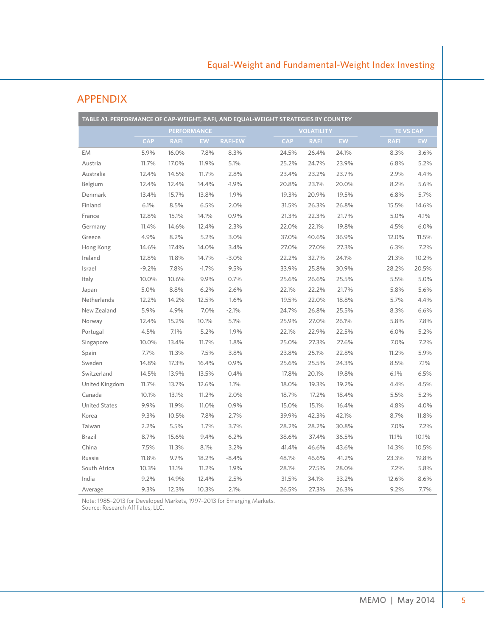| TABLE A1. PERFORMANCE OF CAP-WEIGHT, RAFI, AND EQUAL-WEIGHT STRATEGIES BY COUNTRY |            |             |                    |                |            |                   |       |             |                  |  |
|-----------------------------------------------------------------------------------|------------|-------------|--------------------|----------------|------------|-------------------|-------|-------------|------------------|--|
|                                                                                   |            |             | <b>PERFORMANCE</b> |                |            | <b>VOLATILITY</b> |       |             | <b>TE VS CAP</b> |  |
|                                                                                   | <b>CAP</b> | <b>RAFI</b> | <b>EW</b>          | <b>RAFI-EW</b> | <b>CAP</b> | <b>RAFI</b>       | EW    | <b>RAFI</b> | <b>EW</b>        |  |
| <b>EM</b>                                                                         | 5.9%       | 16.0%       | 7.8%               | 8.3%           | 24.5%      | 26.4%             | 24.1% | 8.3%        | 3.6%             |  |
| Austria                                                                           | 11.7%      | 17.0%       | 11.9%              | 5.1%           | 25.2%      | 24.7%             | 23.9% | 6.8%        | 5.2%             |  |
| Australia                                                                         | 12.4%      | 14.5%       | 11.7%              | 2.8%           | 23.4%      | 23.2%             | 23.7% | 2.9%        | 4.4%             |  |
| Belgium                                                                           | 12.4%      | 12.4%       | 14.4%              | $-1.9%$        | 20.8%      | 23.1%             | 20.0% | 8.2%        | 5.6%             |  |
| Denmark                                                                           | 13.4%      | 15.7%       | 13.8%              | 1.9%           | 19.3%      | 20.9%             | 19.5% | 6.8%        | 5.7%             |  |
| Finland                                                                           | 6.1%       | 8.5%        | 6.5%               | 2.0%           | 31.5%      | 26.3%             | 26.8% | 15.5%       | 14.6%            |  |
| France                                                                            | 12.8%      | 15.1%       | 14.1%              | 0.9%           | 21.3%      | 22.3%             | 21.7% | 5.0%        | 4.1%             |  |
| Germany                                                                           | 11.4%      | 14.6%       | 12.4%              | 2.3%           | 22.0%      | 22.1%             | 19.8% | 4.5%        | 6.0%             |  |
| Greece                                                                            | 4.9%       | 8.2%        | 5.2%               | 3.0%           | 37.0%      | 40.6%             | 36.9% | 12.0%       | 11.5%            |  |
| Hong Kong                                                                         | 14.6%      | 17.4%       | 14.0%              | 3.4%           | 27.0%      | 27.0%             | 27.3% | 6.3%        | 7.2%             |  |
| Ireland                                                                           | 12.8%      | 11.8%       | 14.7%              | $-3.0%$        | 22.2%      | 32.7%             | 24.1% | 21.3%       | 10.2%            |  |
| Israel                                                                            | $-9.2%$    | 7.8%        | $-1.7%$            | 9.5%           | 33.9%      | 25.8%             | 30.9% | 28.2%       | 20.5%            |  |
| Italy                                                                             | 10.0%      | 10.6%       | 9.9%               | 0.7%           | 25.6%      | 26.6%             | 25.5% | 5.5%        | 5.0%             |  |
| Japan                                                                             | 5.0%       | 8.8%        | 6.2%               | 2.6%           | 22.1%      | 22.2%             | 21.7% | 5.8%        | 5.6%             |  |
| Netherlands                                                                       | 12.2%      | 14.2%       | 12.5%              | 1.6%           | 19.5%      | 22.0%             | 18.8% | 5.7%        | 4.4%             |  |
| New Zealand                                                                       | 5.9%       | 4.9%        | 7.0%               | $-2.1%$        | 24.7%      | 26.8%             | 25.5% | 8.3%        | 6.6%             |  |
| Norway                                                                            | 12.4%      | 15.2%       | 10.1%              | 5.1%           | 25.9%      | 27.0%             | 26.1% | 5.8%        | 7.8%             |  |
| Portugal                                                                          | 4.5%       | 7.1%        | 5.2%               | 1.9%           | 22.1%      | 22.9%             | 22.5% | 6.0%        | 5.2%             |  |
| Singapore                                                                         | 10.0%      | 13.4%       | 11.7%              | 1.8%           | 25.0%      | 27.3%             | 27.6% | 7.0%        | 7.2%             |  |
| Spain                                                                             | 7.7%       | 11.3%       | 7.5%               | 3.8%           | 23.8%      | 25.1%             | 22.8% | 11.2%       | 5.9%             |  |
| Sweden                                                                            | 14.8%      | 17.3%       | 16.4%              | 0.9%           | 25.6%      | 25.5%             | 24.3% | 8.5%        | 7.1%             |  |
| Switzerland                                                                       | 14.5%      | 13.9%       | 13.5%              | 0.4%           | 17.8%      | 20.1%             | 19.8% | 6.1%        | 6.5%             |  |
| United Kingdom                                                                    | 11.7%      | 13.7%       | 12.6%              | 1.1%           | 18.0%      | 19.3%             | 19.2% | 4.4%        | 4.5%             |  |
| Canada                                                                            | 10.1%      | 13.1%       | 11.2%              | 2.0%           | 18.7%      | 17.2%             | 18.4% | 5.5%        | 5.2%             |  |
| <b>United States</b>                                                              | 9.9%       | 11.9%       | 11.0%              | 0.9%           | 15.0%      | 15.1%             | 16.4% | 4.8%        | 4.0%             |  |
| Korea                                                                             | 9.3%       | 10.5%       | 7.8%               | 2.7%           | 39.9%      | 42.3%             | 42.1% | 8.7%        | 11.8%            |  |
| Taiwan                                                                            | 2.2%       | 5.5%        | 1.7%               | 3.7%           | 28.2%      | 28.2%             | 30.8% | 7.0%        | 7.2%             |  |
| <b>Brazil</b>                                                                     | 8.7%       | 15.6%       | 9.4%               | 6.2%           | 38.6%      | 37.4%             | 36.5% | 11.1%       | 10.1%            |  |
| China                                                                             | 7.5%       | 11.3%       | 8.1%               | 3.2%           | 41.4%      | 46.6%             | 43.6% | 14.3%       | 10.5%            |  |
| Russia                                                                            | 11.8%      | 9.7%        | 18.2%              | $-8.4%$        | 48.1%      | 46.6%             | 41.2% | 23.3%       | 19.8%            |  |
| South Africa                                                                      | 10.3%      | 13.1%       | 11.2%              | 1.9%           | 28.1%      | 27.5%             | 28.0% | 7.2%        | 5.8%             |  |
| India                                                                             | 9.2%       | 14.9%       | 12.4%              | 2.5%           | 31.5%      | 34.1%             | 33.2% | 12.6%       | 8.6%             |  |
| Average                                                                           | 9.3%       | 12.3%       | 10.3%              | 2.1%           | 26.5%      | 27.3%             | 26.3% | 9.2%        | 7.7%             |  |

## APPENDIX

Note: 1985–2013 for Developed Markets, 1997–2013 for Emerging Markets. Source: Research Affiliates, LLC.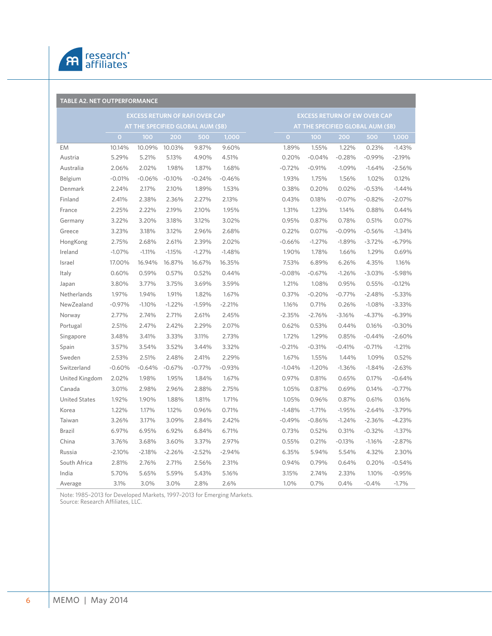

| <b>TABLE A2. NET OUTPERFORMANCE</b>   |                                   |          |          |          |          |  |                                   |                                     |          |          |          |  |  |
|---------------------------------------|-----------------------------------|----------|----------|----------|----------|--|-----------------------------------|-------------------------------------|----------|----------|----------|--|--|
| <b>EXCESS RETURN OF RAFI OVER CAP</b> |                                   |          |          |          |          |  |                                   | <b>EXCESS RETURN OF EW OVER CAP</b> |          |          |          |  |  |
|                                       | AT THE SPECIFIED GLOBAL AUM (\$B) |          |          |          |          |  | AT THE SPECIFIED GLOBAL AUM (\$B) |                                     |          |          |          |  |  |
|                                       | $\overline{O}$                    | 100      | 200      | 500      | 1,000    |  | $\mathbf{O}$                      | 100 <sub>1</sub>                    | 200      | 500      | 1,000    |  |  |
| <b>EM</b>                             | 10.14%                            | 10.09%   | 10.03%   | 9.87%    | 9.60%    |  | 1.89%                             | 1.55%                               | 1.22%    | 0.23%    | $-1.43%$ |  |  |
| Austria                               | 5.29%                             | 5.21%    | 5.13%    | 4.90%    | 4.51%    |  | 0.20%                             | $-0.04%$                            | $-0.28%$ | $-0.99%$ | $-2.19%$ |  |  |
| Australia                             | 2.06%                             | 2.02%    | 1.98%    | 1.87%    | 1.68%    |  | $-0.72%$                          | $-0.91%$                            | $-1.09%$ | $-1.64%$ | $-2.56%$ |  |  |
| Belgium                               | $-0.01%$                          | $-0.06%$ | $-0.10%$ | $-0.24%$ | $-0.46%$ |  | 1.93%                             | 1.75%                               | 1.56%    | 1.02%    | 0.12%    |  |  |
| Denmark                               | 2.24%                             | 2.17%    | 2.10%    | 1.89%    | 1.53%    |  | 0.38%                             | 0.20%                               | 0.02%    | $-0.53%$ | $-1.44%$ |  |  |
| Finland                               | 2.41%                             | 2.38%    | 2.36%    | 2.27%    | 2.13%    |  | 0.43%                             | 0.18%                               | $-0.07%$ | $-0.82%$ | $-2.07%$ |  |  |
| France                                | 2.25%                             | 2.22%    | 2.19%    | 2.10%    | 1.95%    |  | 1.31%                             | 1.23%                               | 1.14%    | 0.88%    | 0.44%    |  |  |
| Germany                               | 3.22%                             | 3.20%    | 3.18%    | 3.12%    | 3.02%    |  | 0.95%                             | 0.87%                               | 0.78%    | 0.51%    | 0.07%    |  |  |
| Greece                                | 3.23%                             | 3.18%    | 3.12%    | 2.96%    | 2.68%    |  | 0.22%                             | 0.07%                               | $-0.09%$ | $-0.56%$ | $-1.34%$ |  |  |
| HongKong                              | 2.75%                             | 2.68%    | 2.61%    | 2.39%    | 2.02%    |  | $-0.66%$                          | $-1.27%$                            | $-1.89%$ | $-3.72%$ | $-6.79%$ |  |  |
| Ireland                               | $-1.07%$                          | $-1.11%$ | $-1.15%$ | $-1.27%$ | $-1.48%$ |  | 1.90%                             | 1.78%                               | 1.66%    | 1.29%    | 0.69%    |  |  |
| Israel                                | 17.00%                            | 16.94%   | 16.87%   | 16.67%   | 16.35%   |  | 7.53%                             | 6.89%                               | 6.26%    | 4.35%    | 1.16%    |  |  |
| Italy                                 | 0.60%                             | 0.59%    | 0.57%    | 0.52%    | 0.44%    |  | $-0.08%$                          | $-0.67%$                            | $-1.26%$ | $-3.03%$ | $-5.98%$ |  |  |
| Japan                                 | 3.80%                             | 3.77%    | 3.75%    | 3.69%    | 3.59%    |  | 1.21%                             | 1.08%                               | 0.95%    | 0.55%    | $-0.12%$ |  |  |
| Netherlands                           | 1.97%                             | 1.94%    | 1.91%    | 1.82%    | 1.67%    |  | 0.37%                             | $-0.20%$                            | $-0.77%$ | $-2.48%$ | $-5.33%$ |  |  |
| NewZealand                            | $-0.97%$                          | $-1.10%$ | $-1.22%$ | $-1.59%$ | $-2.21%$ |  | 1.16%                             | 0.71%                               | 0.26%    | $-1.08%$ | $-3.33%$ |  |  |
| Norway                                | 2.77%                             | 2.74%    | 2.71%    | 2.61%    | 2.45%    |  | $-2.35%$                          | $-2.76%$                            | $-3.16%$ | $-4.37%$ | $-6.39%$ |  |  |
| Portugal                              | 2.51%                             | 2.47%    | 2.42%    | 2.29%    | 2.07%    |  | 0.62%                             | 0.53%                               | 0.44%    | 0.16%    | $-0.30%$ |  |  |
| Singapore                             | 3.48%                             | 3.41%    | 3.33%    | 3.11%    | 2.73%    |  | 1.72%                             | 1.29%                               | 0.85%    | $-0.44%$ | $-2.60%$ |  |  |
| Spain                                 | 3.57%                             | 3.54%    | 3.52%    | 3.44%    | 3.32%    |  | $-0.21%$                          | $-0.31%$                            | $-0.41%$ | $-0.71%$ | $-1.21%$ |  |  |
| Sweden                                | 2.53%                             | 2.51%    | 2.48%    | 2.41%    | 2.29%    |  | 1.67%                             | 1.55%                               | 1.44%    | 1.09%    | 0.52%    |  |  |
| Switzerland                           | $-0.60%$                          | $-0.64%$ | $-0.67%$ | $-0.77%$ | $-0.93%$ |  | $-1.04%$                          | $-1.20%$                            | $-1.36%$ | $-1.84%$ | $-2.63%$ |  |  |
| United Kingdom                        | 2.02%                             | 1.98%    | 1.95%    | 1.84%    | 1.67%    |  | 0.97%                             | 0.81%                               | 0.65%    | 0.17%    | $-0.64%$ |  |  |
| Canada                                | 3.01%                             | 2.98%    | 2.96%    | 2.88%    | 2.75%    |  | 1.05%                             | 0.87%                               | 0.69%    | 0.14%    | $-0.77%$ |  |  |
| <b>United States</b>                  | 1.92%                             | 1.90%    | 1.88%    | 1.81%    | 1.71%    |  | 1.05%                             | 0.96%                               | 0.87%    | 0.61%    | 0.16%    |  |  |
| Korea                                 | 1.22%                             | 1.17%    | 1.12%    | 0.96%    | 0.71%    |  | $-1.48%$                          | $-1.71%$                            | $-1.95%$ | $-2.64%$ | $-3.79%$ |  |  |
| Taiwan                                | 3.26%                             | 3.17%    | 3.09%    | 2.84%    | 2.42%    |  | $-0.49%$                          | $-0.86%$                            | $-1.24%$ | $-2.36%$ | $-4.23%$ |  |  |
| <b>Brazil</b>                         | 6.97%                             | 6.95%    | 6.92%    | 6.84%    | 6.71%    |  | 0.73%                             | 0.52%                               | 0.31%    | $-0.32%$ | $-1.37%$ |  |  |
| China                                 | 3.76%                             | 3.68%    | 3.60%    | 3.37%    | 2.97%    |  | 0.55%                             | 0.21%                               | $-0.13%$ | $-1.16%$ | $-2.87%$ |  |  |
| Russia                                | $-2.10%$                          | $-2.18%$ | $-2.26%$ | $-2.52%$ | $-2.94%$ |  | 6.35%                             | 5.94%                               | 5.54%    | 4.32%    | 2.30%    |  |  |
| South Africa                          | 2.81%                             | 2.76%    | 2.71%    | 2.56%    | 2.31%    |  | 0.94%                             | 0.79%                               | 0.64%    | 0.20%    | $-0.54%$ |  |  |
| India                                 | 5.70%                             | 5.65%    | 5.59%    | 5.43%    | 5.16%    |  | 3.15%                             | 2.74%                               | 2.33%    | 1.10%    | $-0.95%$ |  |  |
| Average                               | 3.1%                              | 3.0%     | 3.0%     | 2.8%     | 2.6%     |  | 1.0%                              | 0.7%                                | 0.4%     | $-0.4%$  | $-1.7%$  |  |  |

Note: 1985–2013 for Developed Markets, 1997–2013 for Emerging Markets. Source: Research Affiliates, LLC.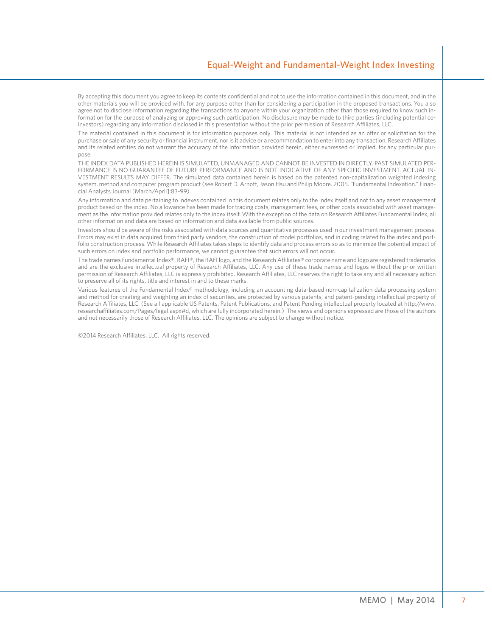By accepting this document you agree to keep its contents confidential and not to use the information contained in this document, and in the other materials you will be provided with, for any purpose other than for considering a participation in the proposed transactions. You also agree not to disclose information regarding the transactions to anyone within your organization other than those required to know such information for the purpose of analyzing or approving such participation. No disclosure may be made to third parties (including potential coinvestors) regarding any information disclosed in this presentation without the prior permission of Research Affiliates, LLC.

The material contained in this document is for information purposes only. This material is not intended as an offer or solicitation for the purchase or sale of any security or financial instrument, nor is it advice or a recommendation to enter into any transaction. Research Affiliates and its related entities do not warrant the accuracy of the information provided herein, either expressed or implied, for any particular purpose.

THE INDEX DATA PUBLISHED HEREIN IS SIMULATED, UNMANAGED AND CANNOT BE INVESTED IN DIRECTLY. PAST SIMULATED PER-FORMANCE IS NO GUARANTEE OF FUTURE PERFORMANCE AND IS NOT INDICATIVE OF ANY SPECIFIC INVESTMENT. ACTUAL IN-VESTMENT RESULTS MAY DIFFER. The simulated data contained herein is based on the patented non-capitalization weighted indexing system, method and computer program product (see Robert D. Arnott, Jason Hsu and Philip Moore. 2005. "Fundamental Indexation." Financial Analysts Journal [March/April]:83-99).

Any information and data pertaining to indexes contained in this document relates only to the index itself and not to any asset management product based on the index. No allowance has been made for trading costs, management fees, or other costs associated with asset management as the information provided relates only to the index itself. With the exception of the data on Research Affiliates Fundamental Index, all other information and data are based on information and data available from public sources.

Investors should be aware of the risks associated with data sources and quantitative processes used in our investment management process. Errors may exist in data acquired from third party vendors, the construction of model portfolios, and in coding related to the index and portfolio construction process. While Research Affiliates takes steps to identify data and process errors so as to minimize the potential impact of such errors on index and portfolio performance, we cannot guarantee that such errors will not occur.

The trade names Fundamental Index®, RAFI®, the RAFI logo, and the Research Affiliates® corporate name and logo are registered trademarks and are the exclusive intellectual property of Research Affiliates, LLC. Any use of these trade names and logos without the prior written permission of Research Affiliates, LLC is expressly prohibited. Research Affiliates, LLC reserves the right to take any and all necessary action to preserve all of its rights, title and interest in and to these marks.

Various features of the Fundamental Index® methodology, including an accounting data-based non-capitalization data processing system and method for creating and weighting an index of securities, are protected by various patents, and patent-pending intellectual property of Research Affiliates, LLC. (See all applicable US Patents, Patent Publications, and Patent Pending intellectual property located at http://www. researchaffiliates.com/Pages/legal.aspx#d, which are fully incorporated herein.) The views and opinions expressed are those of the authors and not necessarily those of Research Affiliates, LLC. The opinions are subject to change without notice.

©2014 Research Affiliates, LLC. All rights reserved.